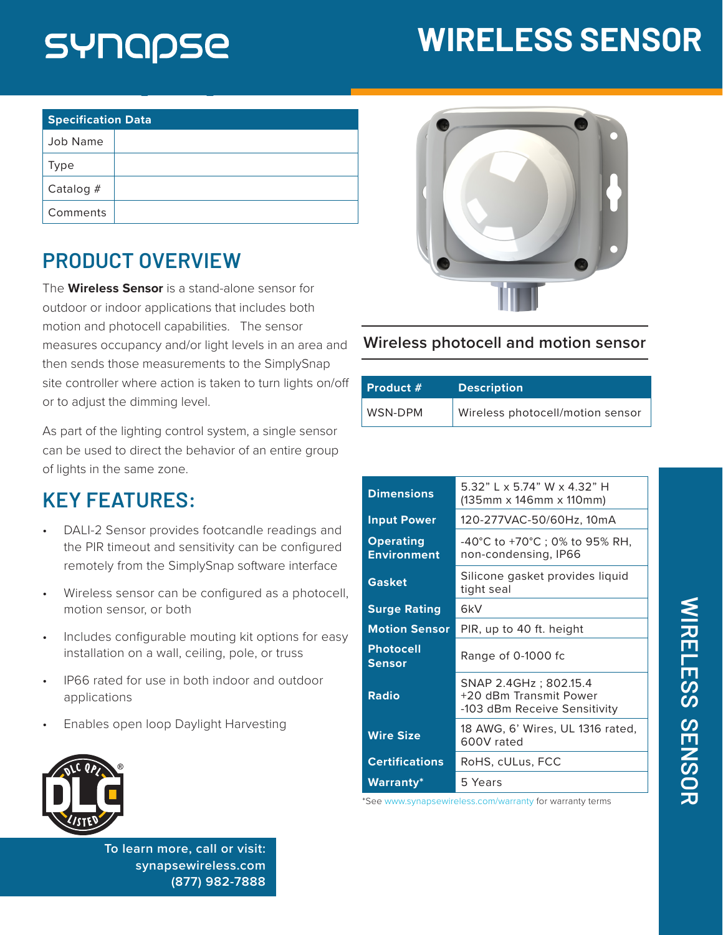# SYNQPSE

## **WIRELESS SENSOR**

| <b>Specification Data</b> |  |  |
|---------------------------|--|--|
| Job Name                  |  |  |
| <b>Type</b>               |  |  |
| Catalog #                 |  |  |
| Comments                  |  |  |

### **PRODUCT OVERVIEW**

The **Wireless Sensor** is a stand-alone sensor for outdoor or indoor applications that includes both motion and photocell capabilities. The sensor measures occupancy and/or light levels in an area and then sends those measurements to the SimplySnap site controller where action is taken to turn lights on/off or to adjust the dimming level.

As part of the lighting control system, a single sensor can be used to direct the behavior of an entire group of lights in the same zone.

### **KEY FEATURES:**

- DALI-2 Sensor provides footcandle readings and the PIR timeout and sensitivity can be configured remotely from the SimplySnap software interface
- Wireless sensor can be configured as a photocell, motion sensor, or both
- Includes configurable mouting kit options for easy installation on a wall, ceiling, pole, or truss
- IP66 rated for use in both indoor and outdoor applications
- Enables open loop Daylight Harvesting



**To learn more, call or visit: [synapsewireless.com](http://www.synapse-wireless.com) (877) 982-7888**



#### **Wireless photocell and motion sensor**

| Product # | <b>Description</b>               |
|-----------|----------------------------------|
| WSN-DPM   | Wireless photocell/motion sensor |

| <b>Dimensions</b>                      | 5.32" L x 5.74" W x 4.32" H<br>(135mm x 146mm x 110mm)                          |
|----------------------------------------|---------------------------------------------------------------------------------|
| <b>Input Power</b>                     | 120-277VAC-50/60Hz, 10mA                                                        |
| <b>Operating</b><br><b>Environment</b> | -40°C to +70°C ; 0% to 95% RH,<br>non-condensing, IP66                          |
| <b>Gasket</b>                          | Silicone gasket provides liquid<br>tight seal                                   |
| <b>Surge Rating</b>                    | 6kV                                                                             |
| <b>Motion Sensor</b>                   | PIR, up to 40 ft. height                                                        |
| <b>Photocell</b><br><b>Sensor</b>      | Range of 0-1000 fc                                                              |
| <b>Radio</b>                           | SNAP 2.4GHz; 802.15.4<br>+20 dBm Transmit Power<br>-103 dBm Receive Sensitivity |
| <b>Wire Size</b>                       | 18 AWG, 6' Wires, UL 1316 rated,<br>600V rated                                  |
| <b>Certifications</b>                  | RoHS, cULus, FCC                                                                |
| Warranty*                              | 5 Years                                                                         |

\*See [www.synapsewireless.com/warranty](http://www.synapsewireless.com/warranty ) for warranty terms